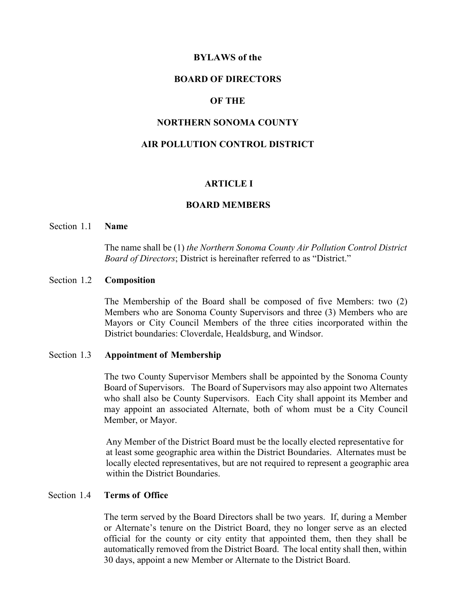#### **BYLAWS of the**

#### **BOARD OF DIRECTORS**

### **OF THE**

### **NORTHERN SONOMA COUNTY**

# **AIR POLLUTION CONTROL DISTRICT**

#### **ARTICLE I**

#### **BOARD MEMBERS**

# Section 1.1 **Name**

The name shall be (1) *the Northern Sonoma County Air Pollution Control District Board of Directors*; District is hereinafter referred to as "District."

#### Section 1.2 **Composition**

The Membership of the Board shall be composed of five Members: two (2) Members who are Sonoma County Supervisors and three (3) Members who are Mayors or City Council Members of the three cities incorporated within the District boundaries: Cloverdale, Healdsburg, and Windsor.

# Section 1.3 **Appointment of Membership**

The two County Supervisor Members shall be appointed by the Sonoma County Board of Supervisors. The Board of Supervisors may also appoint two Alternates who shall also be County Supervisors. Each City shall appoint its Member and may appoint an associated Alternate, both of whom must be a City Council Member, or Mayor.

Any Member of the District Board must be the locally elected representative for at least some geographic area within the District Boundaries. Alternates must be locally elected representatives, but are not required to represent a geographic area within the District Boundaries.

### Section 1.4 **Terms of Office**

The term served by the Board Directors shall be two years. If, during a Member or Alternate's tenure on the District Board, they no longer serve as an elected official for the county or city entity that appointed them, then they shall be automatically removed from the District Board. The local entity shall then, within 30 days, appoint a new Member or Alternate to the District Board.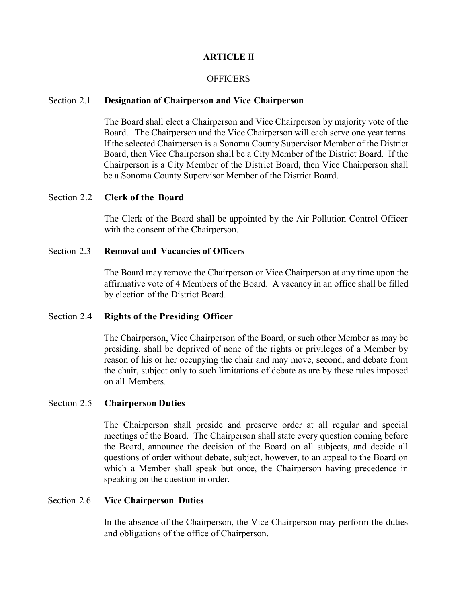# **ARTICLE** II

### **OFFICERS**

#### Section 2.1 **Designation of Chairperson and Vice Chairperson**

The Board shall elect a Chairperson and Vice Chairperson by majority vote of the Board. The Chairperson and the Vice Chairperson will each serve one year terms. If the selected Chairperson is a Sonoma County Supervisor Member of the District Board, then Vice Chairperson shall be a City Member of the District Board. If the Chairperson is a City Member of the District Board, then Vice Chairperson shall be a Sonoma County Supervisor Member of the District Board.

# Section 2.2 **Clerk of the Board**

The Clerk of the Board shall be appointed by the Air Pollution Control Officer with the consent of the Chairperson.

### Section 2.3 **Removal and Vacancies of Officers**

The Board may remove the Chairperson or Vice Chairperson at any time upon the affirmative vote of 4 Members of the Board. A vacancy in an office shall be filled by election of the District Board.

### Section 2.4 **Rights of the Presiding Officer**

The Chairperson, Vice Chairperson of the Board, or such other Member as may be presiding, shall be deprived of none of the rights or privileges of a Member by reason of his or her occupying the chair and may move, second, and debate from the chair, subject only to such limitations of debate as are by these rules imposed on all Members.

# Section 2.5 **Chairperson Duties**

The Chairperson shall preside and preserve order at all regular and special meetings of the Board. The Chairperson shall state every question coming before the Board, announce the decision of the Board on all subjects, and decide all questions of order without debate, subject, however, to an appeal to the Board on which a Member shall speak but once, the Chairperson having precedence in speaking on the question in order.

#### Section 2.6 **Vice Chairperson Duties**

In the absence of the Chairperson, the Vice Chairperson may perform the duties and obligations of the office of Chairperson.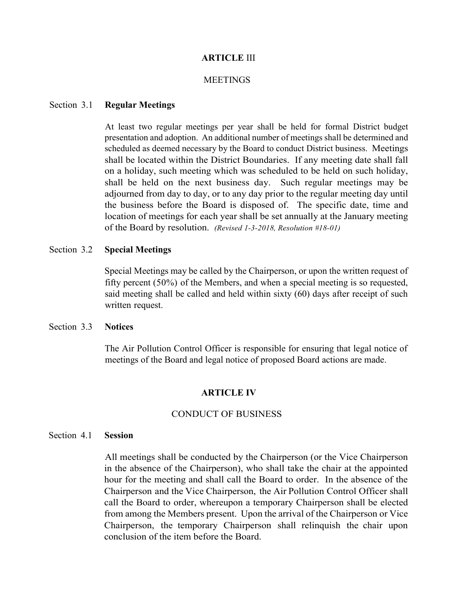### **ARTICLE** III

### **MEETINGS**

#### Section 3.1 **Regular Meetings**

At least two regular meetings per year shall be held for formal District budget presentation and adoption. An additional number of meetings shall be determined and scheduled as deemed necessary by the Board to conduct District business. Meetings shall be located within the District Boundaries. If any meeting date shall fall on a holiday, such meeting which was scheduled to be held on such holiday, shall be held on the next business day. Such regular meetings may be adjourned from day to day, or to any day prior to the regular meeting day until the business before the Board is disposed of. The specific date, time and location of meetings for each year shall be set annually at the January meeting of the Board by resolution. *(Revised 1-3-2018, Resolution #18-01)*

### Section 3.2 **Special Meetings**

Special Meetings may be called by the Chairperson, or upon the written request of fifty percent (50%) of the Members, and when a special meeting is so requested, said meeting shall be called and held within sixty (60) days after receipt of such written request.

## Section 3.3 **Notices**

The Air Pollution Control Officer is responsible for ensuring that legal notice of meetings of the Board and legal notice of proposed Board actions are made.

#### **ARTICLE IV**

### CONDUCT OF BUSINESS

### Section 4.1 **Session**

All meetings shall be conducted by the Chairperson (or the Vice Chairperson in the absence of the Chairperson), who shall take the chair at the appointed hour for the meeting and shall call the Board to order. In the absence of the Chairperson and the Vice Chairperson, the Air Pollution Control Officer shall call the Board to order, whereupon a temporary Chairperson shall be elected from among the Members present. Upon the arrival of the Chairperson or Vice Chairperson, the temporary Chairperson shall relinquish the chair upon conclusion of the item before the Board.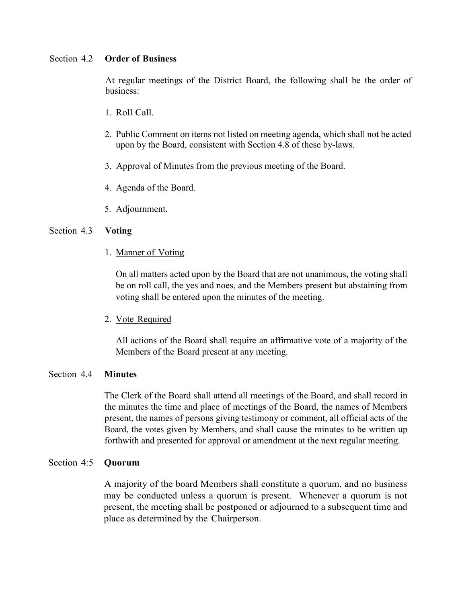### Section 4.2 **Order of Business**

At regular meetings of the District Board, the following shall be the order of business:

- 1. Roll Call.
- 2. Public Comment on items not listed on meeting agenda, which shall not be acted upon by the Board, consistent with Section 4.8 of these by-laws.
- 3. Approval of Minutes from the previous meeting of the Board.
- 4. Agenda of the Board.
- 5. Adjournment.

# Section 4.3 **Voting**

1. Manner of Voting

On all matters acted upon by the Board that are not unanimous, the voting shall be on roll call, the yes and noes, and the Members present but abstaining from voting shall be entered upon the minutes of the meeting.

2. Vote Required

All actions of the Board shall require an affirmative vote of a majority of the Members of the Board present at any meeting.

# Section 4.4 **Minutes**

The Clerk of the Board shall attend all meetings of the Board, and shall record in the minutes the time and place of meetings of the Board, the names of Members present, the names of persons giving testimony or comment, all official acts of the Board, the votes given by Members, and shall cause the minutes to be written up forthwith and presented for approval or amendment at the next regular meeting.

## Section 4:5 **Quorum**

A majority of the board Members shall constitute a quorum, and no business may be conducted unless a quorum is present. Whenever a quorum is not present, the meeting shall be postponed or adjourned to a subsequent time and place as determined by the Chairperson.